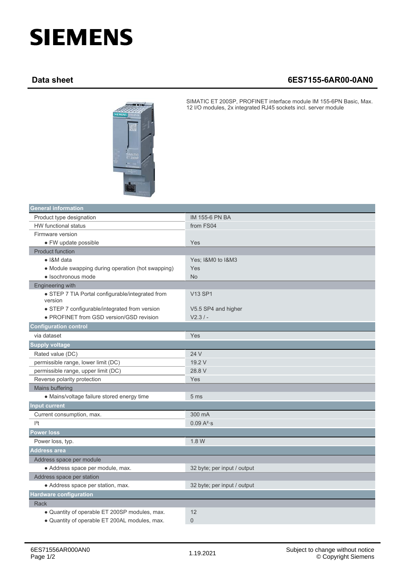## **SIEMENS**

## **Data sheet 6ES7155-6AR00-0AN0**



SIMATIC ET 200SP, PROFINET interface module IM 155-6PN Basic, Max. 12 I/O modules, 2x integrated RJ45 sockets incl. server module

| <b>General information</b>                                  |                             |  |
|-------------------------------------------------------------|-----------------------------|--|
| Product type designation                                    | <b>IM 155-6 PN BA</b>       |  |
| <b>HW</b> functional status                                 | from FS04                   |  |
| Firmware version                                            |                             |  |
| · FW update possible                                        | Yes                         |  |
| <b>Product function</b>                                     |                             |  |
| • I&M data                                                  | Yes; I&M0 to I&M3           |  |
| • Module swapping during operation (hot swapping)           | Yes                         |  |
| · Isochronous mode                                          | <b>No</b>                   |  |
| <b>Engineering with</b>                                     |                             |  |
| • STEP 7 TIA Portal configurable/integrated from<br>version | <b>V13 SP1</b>              |  |
| • STEP 7 configurable/integrated from version               | V5.5 SP4 and higher         |  |
| • PROFINET from GSD version/GSD revision                    | $V2.3/ -$                   |  |
| <b>Configuration control</b>                                |                             |  |
| via dataset                                                 | Yes                         |  |
| <b>Supply voltage</b>                                       |                             |  |
| Rated value (DC)                                            | 24 V                        |  |
| permissible range, lower limit (DC)                         | 19.2 V                      |  |
| permissible range, upper limit (DC)                         | 28.8 V                      |  |
| Reverse polarity protection                                 | Yes                         |  |
| Mains buffering                                             |                             |  |
| • Mains/voltage failure stored energy time                  | 5 <sub>ms</sub>             |  |
| <b>Input current</b>                                        |                             |  |
| Current consumption, max.                                   | 300 mA                      |  |
| $ ^{2}t$                                                    | 0.09 A <sup>2</sup> ·s      |  |
| <b>Power loss</b>                                           |                             |  |
| Power loss, typ.                                            | 1.8 W                       |  |
| <b>Address area</b>                                         |                             |  |
| Address space per module                                    |                             |  |
| • Address space per module, max.                            | 32 byte; per input / output |  |
| Address space per station                                   |                             |  |
| · Address space per station, max.                           | 32 byte; per input / output |  |
| <b>Hardware configuration</b>                               |                             |  |
| <b>Rack</b>                                                 |                             |  |
| • Quantity of operable ET 200SP modules, max.               | $12 \overline{ }$           |  |
| . Quantity of operable ET 200AL modules, max.               | $\mathbf 0$                 |  |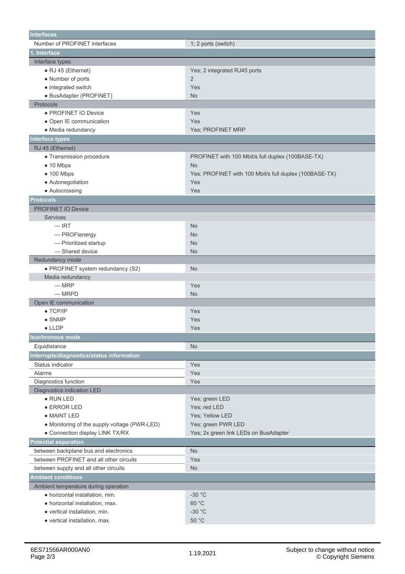| <b>Interfaces</b>                            |                                                        |
|----------------------------------------------|--------------------------------------------------------|
| Number of PROFINET interfaces                | 1; 2 ports (switch)                                    |
| 1. Interface                                 |                                                        |
| Interface types                              |                                                        |
| • RJ 45 (Ethernet)                           | Yes; 2 integrated RJ45 ports                           |
| • Number of ports                            | $\overline{2}$                                         |
| • integrated switch                          | Yes                                                    |
| · BusAdapter (PROFINET)                      | <b>No</b>                                              |
| Protocols                                    |                                                        |
| · PROFINET IO Device                         | Yes                                                    |
| · Open IE communication                      | Yes                                                    |
| • Media redundancy                           | Yes: PROFINET MRP                                      |
| <b>Interface types</b>                       |                                                        |
| RJ 45 (Ethernet)                             |                                                        |
| • Transmission procedure                     | PROFINET with 100 Mbit/s full duplex (100BASE-TX)      |
| $\bullet$ 10 Mbps                            | <b>No</b>                                              |
| $\bullet$ 100 Mbps                           | Yes; PROFINET with 100 Mbit/s full duplex (100BASE-TX) |
| • Autonegotiation                            | Yes                                                    |
| • Autocrossing                               | Yes                                                    |
| <b>Protocols</b>                             |                                                        |
| <b>PROFINET IO Device</b>                    |                                                        |
| <b>Services</b>                              |                                                        |
| $-$ IRT                                      | No                                                     |
| - PROFlenergy                                | <b>No</b>                                              |
| - Prioritized startup                        | <b>No</b>                                              |
| - Shared device                              | <b>No</b>                                              |
| Redundancy mode                              |                                                        |
| · PROFINET system redundancy (S2)            | No                                                     |
| Media redundancy                             |                                                        |
| $-MRP$                                       | Yes                                                    |
| $-MRPD$                                      | <b>No</b>                                              |
| Open IE communication                        |                                                        |
| $\bullet$ TCP/IP                             | Yes                                                    |
| $\bullet$ SNMP                               | Yes                                                    |
| $\bullet$ LLDP                               | Yes                                                    |
|                                              |                                                        |
| Isochronous mode                             |                                                        |
| Equidistance                                 | No                                                     |
| Interrupts/diagnostics/status information    |                                                        |
| Status indicator                             | Yes                                                    |
| Alarms                                       | Yes                                                    |
| Diagnostics function                         | Yes                                                    |
| Diagnostics indication LED                   |                                                        |
| $\bullet$ RUN LED                            | Yes; green LED                                         |
| • ERROR LED                                  | Yes; red LED                                           |
| • MAINT LED                                  | Yes; Yellow LED                                        |
| • Monitoring of the supply voltage (PWR-LED) | Yes; green PWR LED                                     |
| • Connection display LINK TX/RX              | Yes; 2x green link LEDs on BusAdapter                  |
| <b>Potential separation</b>                  |                                                        |
| between backplane bus and electronics        | No                                                     |
| between PROFINET and all other circuits      | Yes                                                    |
| between supply and all other circuits        | No                                                     |
| <b>Ambient conditions</b>                    |                                                        |
| Ambient temperature during operation         |                                                        |
| · horizontal installation, min.              | $-30 °C$                                               |
| · horizontal installation, max.              | 60 °C                                                  |
| · vertical installation, min.                | $-30 °C$                                               |
| · vertical installation, max.                | $50\ ^{\circ}\textrm{C}$                               |